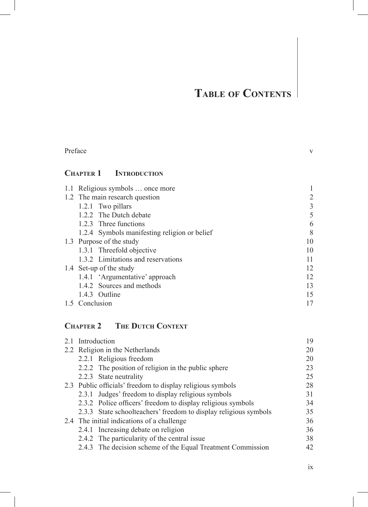$\overline{\phantom{a}}$ 

| <b>CHAPTER 1 INTRODUCTION</b>                                    |                |
|------------------------------------------------------------------|----------------|
| 1.1 Religious symbols  once more                                 | $\mathbf{1}$   |
| 1.2 The main research question                                   | $\overline{c}$ |
| 1.2.1 Two pillars                                                | $\frac{3}{5}$  |
| 1.2.2 The Dutch debate                                           |                |
| 1.2.3 Three functions                                            | 6              |
| 1.2.4 Symbols manifesting religion or belief                     | 8              |
| 1.3 Purpose of the study                                         | 10             |
| 1.3.1 Threefold objective                                        | 10             |
| 1.3.2 Limitations and reservations                               | 11             |
| 1.4 Set-up of the study                                          | 12             |
| 1.4.1 'Argumentative' approach                                   | 12             |
| 1.4.2 Sources and methods                                        | 13             |
| 1.4.3 Outline                                                    | 15             |
| 1.5 Conclusion                                                   | 17             |
| <b>CHAPTER 2 THE DUTCH CONTEXT</b>                               |                |
| 2.1 Introduction                                                 | 19             |
| 2.2 Religion in the Netherlands                                  | 20             |
| 2.2.1 Religious freedom                                          | 20             |
| 2.2.2 The position of religion in the public sphere              | 23             |
| 2.2.3 State neutrality                                           | 25             |
| 2.3 Public officials' freedom to display religious symbols       | 28             |
| 2.3.1 Judges' freedom to display religious symbols               | 31             |
| 2.3.2 Police officers' freedom to display religious symbols      | 34             |
| 2.3.3 State schoolteachers' freedom to display religious symbols | 35             |
| 2.4 The initial indications of a challenge                       | 36             |
| 2.4.1 Increasing debate on religion                              | 36             |
| 2.4.2 The particularity of the central issue                     | 38             |
| 2.4.3 The decision scheme of the Equal Treatment Commission      | 42             |

Preface v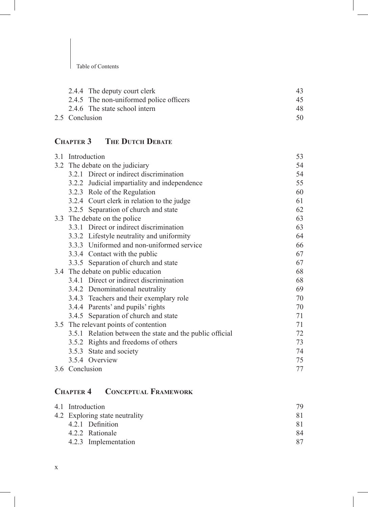| 2.4.4 The deputy court clerk            | 43. |
|-----------------------------------------|-----|
| 2.4.5 The non-uniformed police officers | 45  |
| 2.4.6 The state school intern           | 48  |
| 2.5 Conclusion                          | 50. |

# **Chapter 3 The Dutch Debate**

| 3.1 |                | Introduction                                             | 53 |
|-----|----------------|----------------------------------------------------------|----|
|     |                | 3.2 The debate on the judiciary                          | 54 |
|     |                | 3.2.1 Direct or indirect discrimination                  | 54 |
|     |                | 3.2.2 Judicial impartiality and independence             | 55 |
|     |                | 3.2.3 Role of the Regulation                             | 60 |
|     |                | 3.2.4 Court clerk in relation to the judge               | 61 |
|     |                | 3.2.5 Separation of church and state                     | 62 |
|     |                | 3.3 The debate on the police                             | 63 |
|     |                | 3.3.1 Direct or indirect discrimination                  | 63 |
|     |                | 3.3.2 Lifestyle neutrality and uniformity                | 64 |
|     |                | 3.3.3 Uniformed and non-uniformed service                | 66 |
|     |                | 3.3.4 Contact with the public                            | 67 |
|     |                | 3.3.5 Separation of church and state                     | 67 |
|     |                | 3.4 The debate on public education                       | 68 |
|     |                | 3.4.1 Direct or indirect discrimination                  | 68 |
|     |                | 3.4.2 Denominational neutrality                          | 69 |
|     |                | 3.4.3 Teachers and their exemplary role                  | 70 |
|     |                | 3.4.4 Parents' and pupils' rights                        | 70 |
|     |                | 3.4.5 Separation of church and state                     | 71 |
|     |                | 3.5 The relevant points of contention                    | 71 |
|     |                | 3.5.1 Relation between the state and the public official | 72 |
|     |                | 3.5.2 Rights and freedoms of others                      | 73 |
|     |                | 3.5.3 State and society                                  | 74 |
|     |                | 3.5.4 Overview                                           | 75 |
|     | 3.6 Conclusion |                                                          | 77 |

# **Chapter 4 Conceptual Framework**

| 4.1 Introduction               | 79 |
|--------------------------------|----|
| 4.2 Exploring state neutrality | 81 |
| 4.2.1 Definition               | 81 |
| 4.2.2 Rationale                | 84 |
| 4.2.3 Implementation           | 87 |
|                                |    |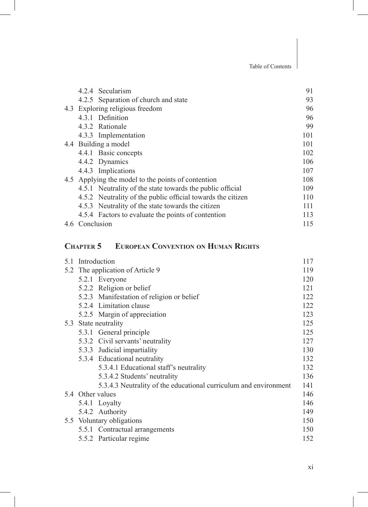|                | 4.2.4 Secularism                                            | 91  |
|----------------|-------------------------------------------------------------|-----|
|                | 4.2.5 Separation of church and state                        | 93  |
|                | 4.3 Exploring religious freedom                             | 96  |
|                | 4.3.1 Definition                                            | 96  |
|                | 4.3.2 Rationale                                             | 99  |
|                | 4.3.3 Implementation                                        | 101 |
|                | 4.4 Building a model                                        | 101 |
|                | 4.4.1 Basic concepts                                        | 102 |
|                | 4.4.2 Dynamics                                              | 106 |
|                | 4.4.3 Implications                                          | 107 |
|                | 4.5 Applying the model to the points of contention          | 108 |
|                | 4.5.1 Neutrality of the state towards the public official   | 109 |
|                | 4.5.2 Neutrality of the public official towards the citizen | 110 |
|                | 4.5.3 Neutrality of the state towards the citizen           | 111 |
|                | 4.5.4 Factors to evaluate the points of contention          | 113 |
| 4.6 Conclusion |                                                             | 115 |
|                |                                                             |     |

#### **Chapter 5 European Convention on Human Rights**

| 5.1 Introduction |                                                                  | 117 |
|------------------|------------------------------------------------------------------|-----|
|                  | 5.2 The application of Article 9                                 | 119 |
|                  | 5.2.1 Everyone                                                   | 120 |
|                  | 5.2.2 Religion or belief                                         | 121 |
|                  | 5.2.3 Manifestation of religion or belief                        | 122 |
|                  | 5.2.4 Limitation clause                                          | 122 |
|                  | 5.2.5 Margin of appreciation                                     | 123 |
|                  | 5.3 State neutrality                                             | 125 |
|                  | 5.3.1 General principle                                          | 125 |
|                  | 5.3.2 Civil servants' neutrality                                 | 127 |
|                  | 5.3.3 Judicial impartiality                                      | 130 |
|                  | 5.3.4 Educational neutrality                                     | 132 |
|                  | 5.3.4.1 Educational staff's neutrality                           | 132 |
|                  | 5.3.4.2 Students' neutrality                                     | 136 |
|                  | 5.3.4.3 Neutrality of the educational curriculum and environment | 141 |
|                  | 5.4 Other values                                                 | 146 |
|                  | 5.4.1 Loyalty                                                    | 146 |
|                  | 5.4.2 Authority                                                  | 149 |
|                  | 5.5 Voluntary obligations                                        | 150 |
|                  | 5.5.1 Contractual arrangements                                   | 150 |
|                  | 5.5.2 Particular regime                                          | 152 |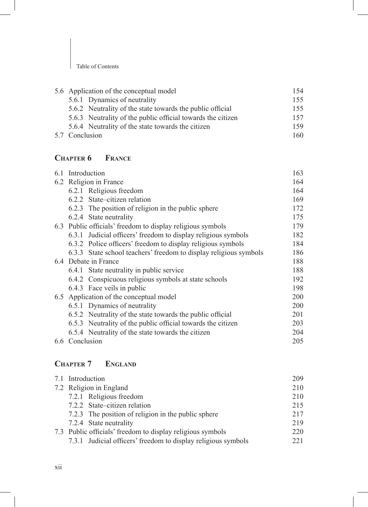| 5.6 Application of the conceptual model                     |     |
|-------------------------------------------------------------|-----|
| 5.6.1 Dynamics of neutrality                                | 155 |
| 5.6.2 Neutrality of the state towards the public official   | 155 |
| 5.6.3 Neutrality of the public official towards the citizen | 157 |
| 5.6.4 Neutrality of the state towards the citizen           | 159 |
| 5.7 Conclusion                                              | 160 |

## **Chapter 6 France**

|                | 6.1 Introduction                                                  | 163 |
|----------------|-------------------------------------------------------------------|-----|
|                | 6.2 Religion in France                                            | 164 |
|                | 6.2.1 Religious freedom                                           | 164 |
|                | 6.2.2 State–citizen relation                                      | 169 |
|                | 6.2.3 The position of religion in the public sphere               | 172 |
|                | 6.2.4 State neutrality                                            | 175 |
|                | 6.3 Public officials' freedom to display religious symbols        | 179 |
|                | 6.3.1 Judicial officers' freedom to display religious symbols     | 182 |
|                | 6.3.2 Police officers' freedom to display religious symbols       | 184 |
|                | 6.3.3 State school teachers' freedom to display religious symbols | 186 |
|                | 6.4 Debate in France                                              | 188 |
|                | 6.4.1 State neutrality in public service                          | 188 |
|                | 6.4.2 Conspicuous religious symbols at state schools              | 192 |
|                | 6.4.3 Face veils in public                                        | 198 |
|                | 6.5 Application of the conceptual model                           | 200 |
|                | 6.5.1 Dynamics of neutrality                                      | 200 |
|                | 6.5.2 Neutrality of the state towards the public official         | 201 |
|                | 6.5.3 Neutrality of the public official towards the citizen       | 203 |
|                | 6.5.4 Neutrality of the state towards the citizen                 | 204 |
| 6.6 Conclusion |                                                                   | 205 |
|                |                                                                   |     |

# **Chapter 7 England**

| 7.1 Introduction                                              | 209 |
|---------------------------------------------------------------|-----|
| 7.2 Religion in England                                       | 210 |
| 7.2.1 Religious freedom                                       | 210 |
| 7.2.2 State-citizen relation                                  | 215 |
| 7.2.3 The position of religion in the public sphere           | 217 |
| 7.2.4 State neutrality                                        | 219 |
| 7.3 Public officials' freedom to display religious symbols    | 220 |
| 7.3.1 Judicial officers' freedom to display religious symbols | 221 |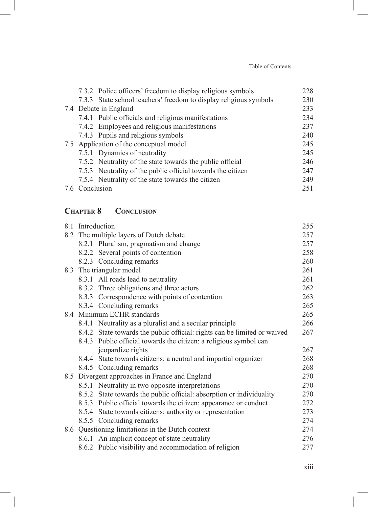|                | 7.3.2 Police officers' freedom to display religious symbols       | 228 |
|----------------|-------------------------------------------------------------------|-----|
|                | 7.3.3 State school teachers' freedom to display religious symbols | 230 |
|                | 7.4 Debate in England                                             | 233 |
|                | 7.4.1 Public officials and religious manifestations               | 234 |
|                | 7.4.2 Employees and religious manifestations                      | 237 |
|                | 7.4.3 Pupils and religious symbols                                | 240 |
|                | 7.5 Application of the conceptual model                           | 245 |
|                | 7.5.1 Dynamics of neutrality                                      | 245 |
|                | 7.5.2 Neutrality of the state towards the public official         | 246 |
|                | 7.5.3 Neutrality of the public official towards the citizen       | 247 |
|                | 7.5.4 Neutrality of the state towards the citizen                 | 249 |
| 7.6 Conclusion |                                                                   | 251 |

#### **Chapter 8 Conclusion**

|  | 8.1 Introduction                                                         | 255 |
|--|--------------------------------------------------------------------------|-----|
|  | 8.2 The multiple layers of Dutch debate                                  | 257 |
|  | 8.2.1 Pluralism, pragmatism and change                                   | 257 |
|  | 8.2.2 Several points of contention                                       | 258 |
|  | 8.2.3 Concluding remarks                                                 | 260 |
|  | 8.3 The triangular model                                                 | 261 |
|  | 8.3.1 All roads lead to neutrality                                       | 261 |
|  | 8.3.2 Three obligations and three actors                                 | 262 |
|  | 8.3.3 Correspondence with points of contention                           | 263 |
|  | 8.3.4 Concluding remarks                                                 | 265 |
|  | 8.4 Minimum ECHR standards                                               | 265 |
|  | 8.4.1 Neutrality as a pluralist and a secular principle                  | 266 |
|  | 8.4.2 State towards the public official: rights can be limited or waived | 267 |
|  | 8.4.3 Public official towards the citizen: a religious symbol can        |     |
|  | jeopardize rights                                                        | 267 |
|  | 8.4.4 State towards citizens: a neutral and impartial organizer          | 268 |
|  | 8.4.5 Concluding remarks                                                 | 268 |
|  | 8.5 Divergent approaches in France and England                           | 270 |
|  | 8.5.1 Neutrality in two opposite interpretations                         | 270 |
|  | 8.5.2 State towards the public official: absorption or individuality     | 270 |
|  | 8.5.3 Public official towards the citizen: appearance or conduct         | 272 |
|  | 8.5.4 State towards citizens: authority or representation                | 273 |
|  | 8.5.5 Concluding remarks                                                 | 274 |
|  | 8.6 Questioning limitations in the Dutch context                         | 274 |
|  | 8.6.1 An implicit concept of state neutrality                            | 276 |
|  | 8.6.2 Public visibility and accommodation of religion                    | 277 |